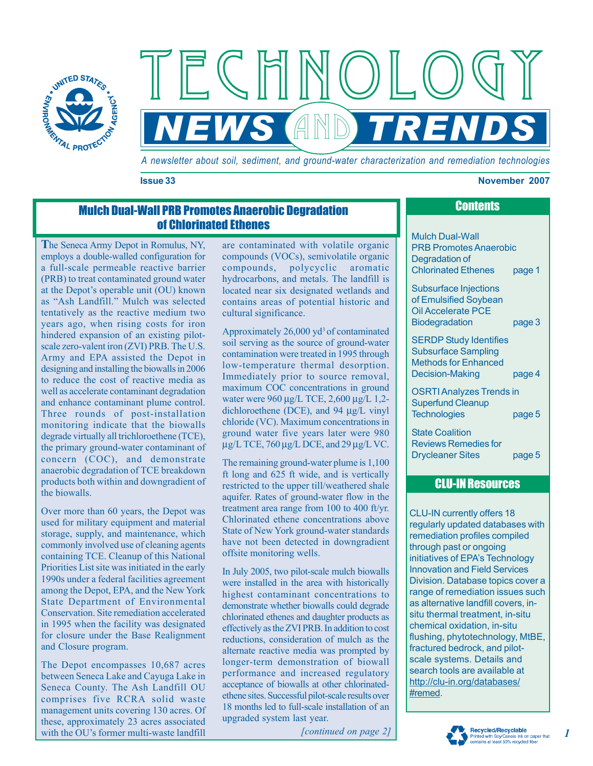

*A newsletter about soil, sediment, and ground-water characterization and remediation technologies*

*NEWS TRENDS*

and

#### **Issue 33 November 2007**

# Mulch Dual-Wall PRB Promotes Anaerobic Degradation of Chlorinated Ethenes

**T**he Seneca Army Depot in Romulus, NY, employs a double-walled configuration for a full-scale permeable reactive barrier (PRB) to treat contaminated ground water at the Depot's operable unit (OU) known as "Ash Landfill." Mulch was selected tentatively as the reactive medium two years ago, when rising costs for iron hindered expansion of an existing pilotscale zero-valent iron (ZVI) PRB. The U.S. Army and EPA assisted the Depot in designing and installing the biowalls in 2006 to reduce the cost of reactive media as well as accelerate contaminant degradation and enhance contaminant plume control. Three rounds of post-installation monitoring indicate that the biowalls degrade virtually all trichloroethene (TCE), the primary ground-water contaminant of concern (COC), and demonstrate anaerobic degradation of TCE breakdown products both within and downgradient of the biowalls.

Over more than 60 years, the Depot was used for military equipment and material storage, supply, and maintenance, which commonly involved use of cleaning agents containing TCE. Cleanup of this National Priorities List site was initiated in the early 1990s under a federal facilities agreement among the Depot, EPA, and the New York State Department of Environmental Conservation. Site remediation accelerated in 1995 when the facility was designated for closure under the Base Realignment and Closure program.

The Depot encompasses 10,687 acres between Seneca Lake and Cayuga Lake in Seneca County. The Ash Landfill OU comprises five RCRA solid waste management units covering 130 acres. Of these, approximately 23 acres associated with the OU's former multi-waste landfill

are contaminated with volatile organic compounds (VOCs), semivolatile organic compounds, polycyclic aromatic hydrocarbons, and metals. The landfill is located near six designated wetlands and contains areas of potential historic and cultural significance.

Approximately  $26,000$  yd<sup>3</sup> of contaminated soil serving as the source of ground-water contamination were treated in 1995 through low-temperature thermal desorption. Immediately prior to source removal, maximum COC concentrations in ground water were 960 μg/L TCE, 2,600 μg/L 1,2dichloroethene (DCE), and 94 µg/L vinyl chloride (VC). Maximum concentrations in ground water five years later were 980 µg/L TCE, 760 µg/L DCE, and 29 µg/L VC.

The remaining ground-water plume is 1,100 ft long and 625 ft wide, and is vertically restricted to the upper till/weathered shale aquifer. Rates of ground-water flow in the treatment area range from 100 to 400 ft/yr. Chlorinated ethene concentrations above State of New York ground-water standards have not been detected in downgradient offsite monitoring wells.

In July 2005, two pilot-scale mulch biowalls were installed in the area with historically highest contaminant concentrations to demonstrate whether biowalls could degrade chlorinated ethenes and daughter products as effectively as the ZVI PRB. In addition to cost reductions, consideration of mulch as the alternate reactive media was prompted by longer-term demonstration of biowall performance and increased regulatory acceptance of biowalls at other chlorinatedethene sites. Successful pilot-scale results over 18 months led to full-scale installation of an upgraded system last year.

*[continued on page 2]*

| <b>Mulch Dual-Wall</b><br><b>PRB Promotes Anaerobic</b><br>Degradation of<br><b>Chlorinated Ethenes</b>       | page 1 |
|---------------------------------------------------------------------------------------------------------------|--------|
| Subsurface Injections<br>of Emulsified Soybean<br><b>Oil Accelerate PCE</b><br><b>Biodegradation</b>          | page 3 |
| <b>SERDP Study Identifies</b><br><b>Subsurface Sampling</b><br><b>Methods for Enhanced</b><br>Decision-Making | page 4 |
| <b>OSRTI Analyzes Trends in</b><br><b>Superfund Cleanup</b><br><b>Technologies</b>                            | page 5 |
| <b>State Coalition</b><br>Reviews Remedies for                                                                |        |

**Contents** 

### CLU-IN Resources

Drycleaner Sites page 5

CLU-IN currently offers 18 regularly updated databases with remediation profiles compiled through past or ongoing initiatives of EPA's Technology Innovation and Field Services Division. Database topics cover a range of remediation issues such as alternative landfill covers, insitu thermal treatment, in-situ chemical oxidation, in-situ flushing, phytotechnology, MtBE, fractured bedrock, and pilotscale systems. Details and search tools are available at http://clu-in.org/databases/ #remed.



*1*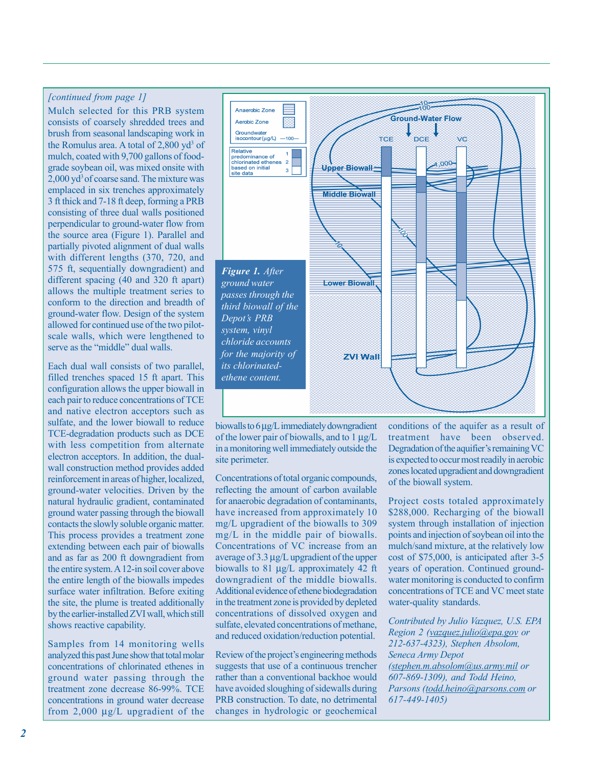## *[continued from page 1]*

Mulch selected for this PRB system consists of coarsely shredded trees and brush from seasonal landscaping work in the Romulus area. A total of  $2,800$  yd<sup>3</sup> of mulch, coated with 9,700 gallons of foodgrade soybean oil, was mixed onsite with 2,000 yd<sup>3</sup> of coarse sand. The mixture was emplaced in six trenches approximately 3 ft thick and 7-18 ft deep, forming a PRB consisting of three dual walls positioned perpendicular to ground-water flow from the source area (Figure 1). Parallel and partially pivoted alignment of dual walls with different lengths (370, 720, and 575 ft, sequentially downgradient) and different spacing (40 and 320 ft apart) allows the multiple treatment series to conform to the direction and breadth of ground-water flow. Design of the system allowed for continued use of the two pilotscale walls, which were lengthened to serve as the "middle" dual walls.

Each dual wall consists of two parallel, filled trenches spaced 15 ft apart. This configuration allows the upper biowall in each pair to reduce concentrations of TCE and native electron acceptors such as sulfate, and the lower biowall to reduce TCE-degradation products such as DCE with less competition from alternate electron acceptors. In addition, the dualwall construction method provides added reinforcement in areas of higher, localized, ground-water velocities. Driven by the natural hydraulic gradient, contaminated ground water passing through the biowall contacts the slowly soluble organic matter. This process provides a treatment zone extending between each pair of biowalls and as far as 200 ft downgradient from the entire system. A 12-in soil cover above the entire length of the biowalls impedes surface water infiltration. Before exiting the site, the plume is treated additionally by the earlier-installed ZVI wall, which still shows reactive capability.

Samples from 14 monitoring wells analyzed this past June show that total molar concentrations of chlorinated ethenes in ground water passing through the treatment zone decrease 86-99%. TCE concentrations in ground water decrease from 2,000 µg/L upgradient of the



biowalls to 6 µg/L immediately downgradient of the lower pair of biowalls, and to  $1 \mu g/L$ in a monitoring well immediately outside the site perimeter.

Concentrations of total organic compounds, reflecting the amount of carbon available for anaerobic degradation of contaminants, have increased from approximately 10 mg/L upgradient of the biowalls to 309 mg/L in the middle pair of biowalls. Concentrations of VC increase from an average of 3.3 µg/L upgradient of the upper biowalls to 81 µg/L approximately 42 ft downgradient of the middle biowalls. Additional evidence of ethene biodegradation in the treatment zone is provided by depleted concentrations of dissolved oxygen and sulfate, elevated concentrations of methane, and reduced oxidation/reduction potential.

Review of the project's engineering methods suggests that use of a continuous trencher rather than a conventional backhoe would have avoided sloughing of sidewalls during PRB construction. To date, no detrimental changes in hydrologic or geochemical

conditions of the aquifer as a result of treatment have been observed. Degradation of the aquifier's remaining VC is expected to occur most readily in aerobic zones located upgradient and downgradient of the biowall system.

Project costs totaled approximately \$288,000. Recharging of the biowall system through installation of injection points and injection of soybean oil into the mulch/sand mixture, at the relatively low cost of \$75,000, is anticipated after 3-5 years of operation. Continued groundwater monitoring is conducted to confirm concentrations of TCE and VC meet state water-quality standards.

*Contributed by Julio Vazquez, U.S. EPA Region 2 (vazquez.julio@epa.gov or 212-637-4323), Stephen Absolom, Seneca Army Depot (stephen.m.absolom@us.army.mil or 607-869-1309), and Todd Heino, Parsons (todd.heino@parsons.com or 617-449-1405)*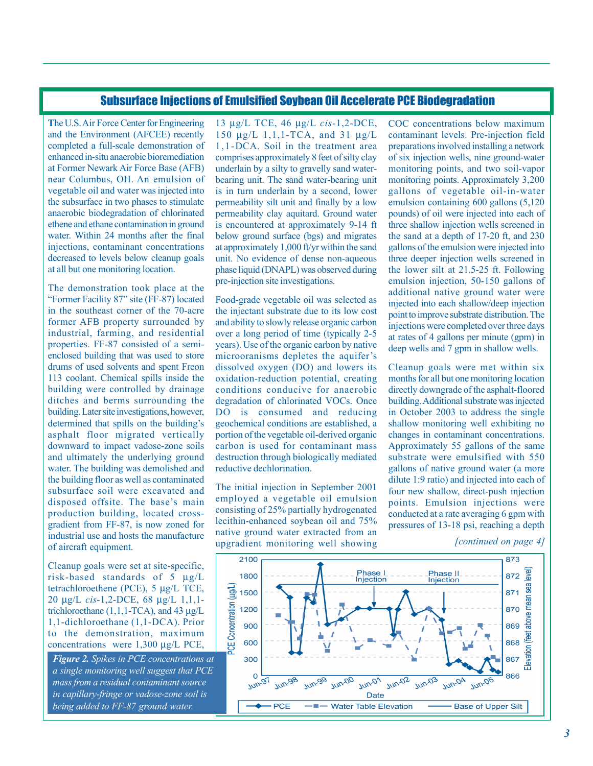## Subsurface Injections of Emulsified Soybean Oil Accelerate PCE Biodegradation

**T**he U.S. Air Force Center for Engineering and the Environment (AFCEE) recently completed a full-scale demonstration of enhanced in-situ anaerobic bioremediation at Former Newark Air Force Base (AFB) near Columbus, OH. An emulsion of vegetable oil and water was injected into the subsurface in two phases to stimulate anaerobic biodegradation of chlorinated ethene and ethane contamination in ground water. Within 24 months after the final injections, contaminant concentrations decreased to levels below cleanup goals at all but one monitoring location.

The demonstration took place at the ìFormer Facility 87î site (FF-87) located in the southeast corner of the 70-acre former AFB property surrounded by industrial, farming, and residential properties. FF-87 consisted of a semienclosed building that was used to store drums of used solvents and spent Freon 113 coolant. Chemical spills inside the building were controlled by drainage ditches and berms surrounding the building. Later site investigations, however, determined that spills on the building's asphalt floor migrated vertically downward to impact vadose-zone soils and ultimately the underlying ground water. The building was demolished and the building floor as well as contaminated subsurface soil were excavated and disposed offsite. The base's main production building, located crossgradient from FF-87, is now zoned for industrial use and hosts the manufacture of aircraft equipment.

Cleanup goals were set at site-specific, risk-based standards of 5 µg/L tetrachloroethene (PCE), 5 µg/L TCE, 20 µg/L *cis*-1,2-DCE, 68 µg/L 1,1,1 trichloroethane  $(1,1,1-\text{TCA})$ , and 43  $\mu$ g/L 1,1-dichloroethane (1,1-DCA). Prior to the demonstration, maximum concentrations were 1,300 µg/L PCE,

*Figure 2. Spikes in PCE concentrations at a single monitoring well suggest that PCE mass from a residual contaminant source in capillary-fringe or vadose-zone soil is being added to FF-87 ground water.*

13 µg/L TCE, 46 µg/L *cis-*1,2-DCE, 150 µg/L 1,1,1-TCA, and 31 µg/L 1,1-DCA. Soil in the treatment area comprises approximately 8 feet of silty clay underlain by a silty to gravelly sand waterbearing unit. The sand water-bearing unit is in turn underlain by a second, lower permeability silt unit and finally by a low permeability clay aquitard. Ground water is encountered at approximately 9-14 ft below ground surface (bgs) and migrates at approximately 1,000 ft/yr within the sand unit. No evidence of dense non-aqueous phase liquid (DNAPL) was observed during pre-injection site investigations.

Food-grade vegetable oil was selected as the injectant substrate due to its low cost and ability to slowly release organic carbon over a long period of time (typically 2-5 years). Use of the organic carbon by native microoranisms depletes the aquifer's dissolved oxygen (DO) and lowers its oxidation-reduction potential, creating conditions conducive for anaerobic degradation of chlorinated VOCs. Once DO is consumed and reducing geochemical conditions are established, a portion of the vegetable oil-derived organic carbon is used for contaminant mass destruction through biologically mediated reductive dechlorination.

The initial injection in September 2001 employed a vegetable oil emulsion consisting of 25% partially hydrogenated lecithin-enhanced soybean oil and 75% native ground water extracted from an upgradient monitoring well showing

COC concentrations below maximum contaminant levels. Pre-injection field preparations involved installing a network of six injection wells, nine ground-water monitoring points, and two soil-vapor monitoring points. Approximately 3,200 gallons of vegetable oil-in-water emulsion containing 600 gallons (5,120 pounds) of oil were injected into each of three shallow injection wells screened in the sand at a depth of 17-20 ft, and 230 gallons of the emulsion were injected into three deeper injection wells screened in the lower silt at 21.5-25 ft. Following emulsion injection, 50-150 gallons of additional native ground water were injected into each shallow/deep injection point to improve substrate distribution. The injections were completed over three days at rates of 4 gallons per minute (gpm) in deep wells and 7 gpm in shallow wells.

Cleanup goals were met within six months for all but one monitoring location directly downgrade of the asphalt-floored building. Additional substrate was injected in October 2003 to address the single shallow monitoring well exhibiting no changes in contaminant concentrations. Approximately 55 gallons of the same substrate were emulsified with 550 gallons of native ground water (a more dilute 1:9 ratio) and injected into each of four new shallow, direct-push injection points. Emulsion injections were conducted at a rate averaging 6 gpm with pressures of 13-18 psi, reaching a depth

*[continued on page 4]*

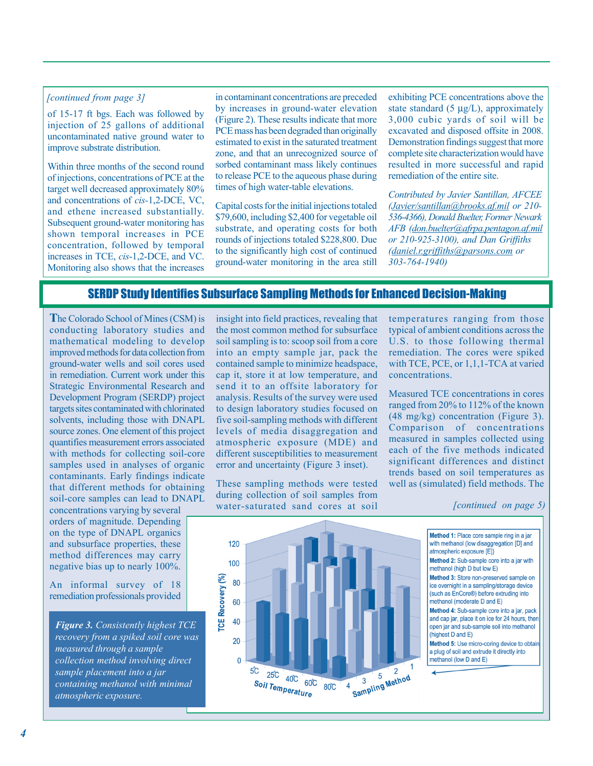#### *[continued from page 3]*

of 15-17 ft bgs. Each was followed by injection of 25 gallons of additional uncontaminated native ground water to improve substrate distribution.

Within three months of the second round of injections, concentrations of PCE at the target well decreased approximately 80% and concentrations of *cis-*1,2-DCE, VC, and ethene increased substantially. Subsequent ground-water monitoring has shown temporal increases in PCE concentration, followed by temporal increases in TCE, *cis*-1,2-DCE, and VC. Monitoring also shows that the increases

in contaminant concentrations are preceded by increases in ground-water elevation (Figure 2). These results indicate that more PCE mass has been degraded than originally estimated to exist in the saturated treatment zone, and that an unrecognized source of sorbed contaminant mass likely continues to release PCE to the aqueous phase during times of high water-table elevations.

Capital costs for the initial injections totaled \$79,600, including \$2,400 for vegetable oil substrate, and operating costs for both rounds of injections totaled \$228,800. Due to the significantly high cost of continued ground-water monitoring in the area still

exhibiting PCE concentrations above the state standard  $(5 \mu g/L)$ , approximately 3,000 cubic yards of soil will be excavated and disposed offsite in 2008. Demonstration findings suggest that more complete site characterization would have resulted in more successful and rapid remediation of the entire site.

*Contributed by Javier Santillan, AFCEE (Javier/santillan@brooks.af.mil or 210- 536-4366), Donald Buelter, Former Newark AFB (don.buelter@afrpa.pentagon.af.mil or 210-925-3100), and Dan Griffiths (daniel.r.griffiths@parsons.com or 303-764-1940)*

### SERDP Study Identifies Subsurface Sampling Methods for Enhanced Decision-Making

**T**he Colorado School of Mines (CSM) is conducting laboratory studies and mathematical modeling to develop improved methods for data collection from ground-water wells and soil cores used in remediation. Current work under this Strategic Environmental Research and Development Program (SERDP) project targets sites contaminated with chlorinated solvents, including those with DNAPL source zones. One element of this project quantifies measurement errors associated with methods for collecting soil-core samples used in analyses of organic contaminants. Early findings indicate that different methods for obtaining soil-core samples can lead to DNAPL

concentrations varying by several orders of magnitude. Depending on the type of DNAPL organics and subsurface properties, these method differences may carry negative bias up to nearly 100%.

An informal survey of 18 remediation professionals provided

*Figure 3. Consistently highest TCE recovery from a spiked soil core was measured through a sample collection method involving direct sample placement into a jar containing methanol with minimal atmospheric exposure.*

insight into field practices, revealing that the most common method for subsurface soil sampling is to: scoop soil from a core into an empty sample jar, pack the contained sample to minimize headspace, cap it, store it at low temperature, and send it to an offsite laboratory for analysis. Results of the survey were used to design laboratory studies focused on five soil-sampling methods with different levels of media disaggregation and atmospheric exposure (MDE) and different susceptibilities to measurement error and uncertainty (Figure 3 inset).

These sampling methods were tested during collection of soil samples from water-saturated sand cores at soil

temperatures ranging from those typical of ambient conditions across the U.S. to those following thermal remediation. The cores were spiked with TCE, PCE, or 1, 1, 1-TCA at varied concentrations.

Measured TCE concentrations in cores ranged from 20% to 112% of the known (48 mg/kg) concentration (Figure 3). Comparison of concentrations measured in samples collected using each of the five methods indicated significant differences and distinct trends based on soil temperatures as well as (simulated) field methods. The

#### *[continued on page 5)*

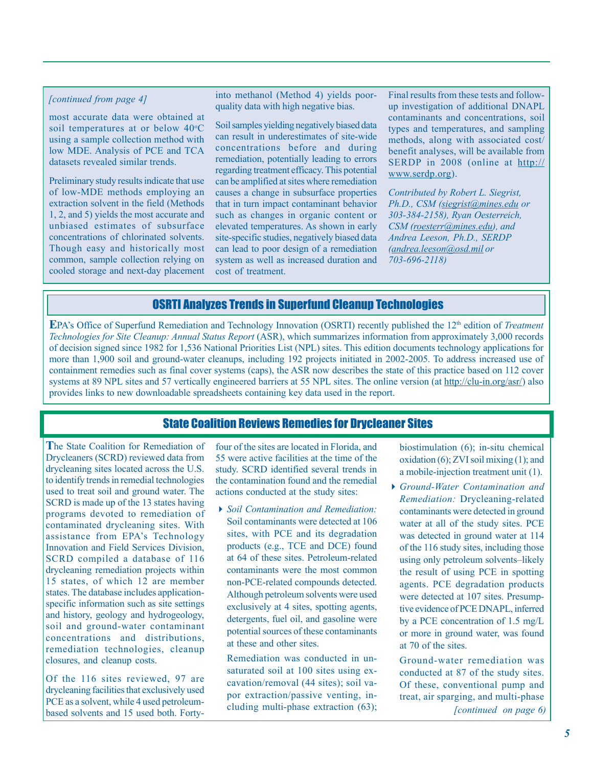### *[continued from page 4]*

most accurate data were obtained at soil temperatures at or below 40°C using a sample collection method with low MDE. Analysis of PCE and TCA datasets revealed similar trends.

Preliminary study results indicate that use of low-MDE methods employing an extraction solvent in the field (Methods 1, 2, and 5) yields the most accurate and unbiased estimates of subsurface concentrations of chlorinated solvents. Though easy and historically most common, sample collection relying on cooled storage and next-day placement into methanol (Method 4) yields poorquality data with high negative bias.

Soil samples yielding negatively biased data can result in underestimates of site-wide concentrations before and during remediation, potentially leading to errors regarding treatment efficacy. This potential can be amplified at sites where remediation causes a change in subsurface properties that in turn impact contaminant behavior such as changes in organic content or elevated temperatures. As shown in early site-specific studies, negatively biased data can lead to poor design of a remediation system as well as increased duration and cost of treatment.

Final results from these tests and followup investigation of additional DNAPL contaminants and concentrations, soil types and temperatures, and sampling methods, along with associated cost/ benefit analyses, will be available from SERDP in 2008 (online at http:// www.serdp.org).

*Contributed by Robert L. Siegrist, Ph.D., CSM (siegrist@mines.edu or 303-384-2158), Ryan Oesterreich, CSM (roesterr@mines.edu), and Andrea Leeson, Ph.D., SERDP (andrea.leeson@osd.mil or 703-696-2118)*

# OSRTI Analyzes Trends in Superfund Cleanup Technologies

**E**PA's Office of Superfund Remediation and Technology Innovation (OSRTI) recently published the 12<sup>th</sup> edition of *Treatment Technologies for Site Cleanup: Annual Status Report* (ASR), which summarizes information from approximately 3,000 records of decision signed since 1982 for 1,536 National Priorities List (NPL) sites. This edition documents technology applications for more than 1,900 soil and ground-water cleanups, including 192 projects initiated in 2002-2005. To address increased use of containment remedies such as final cover systems (caps), the ASR now describes the state of this practice based on 112 cover systems at 89 NPL sites and 57 vertically engineered barriers at 55 NPL sites. The online version (at http://clu-in.org/asr/) also provides links to new downloadable spreadsheets containing key data used in the report.

# State Coalition Reviews Remedies for Drycleaner Sites

**T**he State Coalition for Remediation of Drycleaners (SCRD) reviewed data from drycleaning sites located across the U.S. to identify trends in remedial technologies used to treat soil and ground water. The SCRD is made up of the 13 states having programs devoted to remediation of contaminated drycleaning sites. With assistance from EPA's Technology Innovation and Field Services Division, SCRD compiled a database of 116 drycleaning remediation projects within 15 states, of which 12 are member states. The database includes applicationspecific information such as site settings and history, geology and hydrogeology, soil and ground-water contaminant concentrations and distributions, remediation technologies, cleanup closures, and cleanup costs.

Of the 116 sites reviewed, 97 are drycleaning facilities that exclusively used PCE as a solvent, while 4 used petroleumbased solvents and 15 used both. Fortyfour of the sites are located in Florida, and 55 were active facilities at the time of the study. SCRD identified several trends in the contamination found and the remedial actions conducted at the study sites:

!*Soil Contamination and Remediation:* Soil contaminants were detected at 106 sites, with PCE and its degradation products (e.g., TCE and DCE) found at 64 of these sites. Petroleum-related contaminants were the most common non-PCE-related compounds detected. Although petroleum solvents were used exclusively at 4 sites, spotting agents, detergents, fuel oil, and gasoline were potential sources of these contaminants at these and other sites.

Remediation was conducted in unsaturated soil at 100 sites using excavation/removal (44 sites); soil vapor extraction/passive venting, including multi-phase extraction (63);

biostimulation (6); in-situ chemical oxidation  $(6)$ ; ZVI soil mixing  $(1)$ ; and a mobile-injection treatment unit (1).

!*Ground-Water Contamination and Remediation:* Drycleaning-related contaminants were detected in ground water at all of the study sites. PCE was detected in ground water at 114 of the 116 study sites, including those using only petroleum solvents-likely the result of using PCE in spotting agents. PCE degradation products were detected at 107 sites. Presumptive evidence of PCE DNAPL, inferred by a PCE concentration of 1.5 mg/L or more in ground water, was found at 70 of the sites.

Ground-water remediation was conducted at 87 of the study sites. Of these, conventional pump and treat, air sparging, and multi-phase *[continued on page 6)*